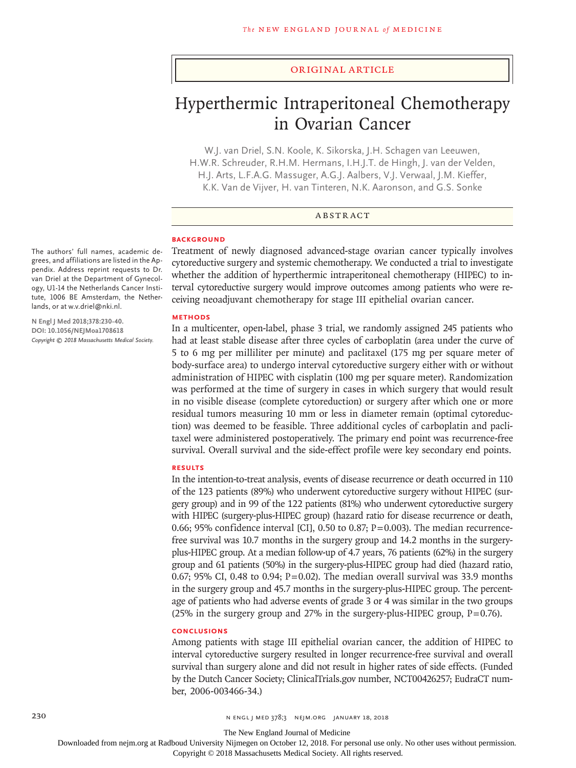## Original Article

# Hyperthermic Intraperitoneal Chemotherapy in Ovarian Cancer

W.J. van Driel, S.N. Koole, K. Sikorska, J.H. Schagen van Leeuwen, H.W.R. Schreuder, R.H.M. Hermans, I.H.J.T. de Hingh, J. van der Velden, H.J. Arts, L.F.A.G. Massuger, A.G.J. Aalbers, V.J. Verwaal, J.M. Kieffer, K.K. Van de Vijver, H. van Tinteren, N.K. Aaronson, and G.S. Sonke

## ABSTRACT

#### **BACKGROUND**

Treatment of newly diagnosed advanced-stage ovarian cancer typically involves cytoreductive surgery and systemic chemotherapy. We conducted a trial to investigate whether the addition of hyperthermic intraperitoneal chemotherapy (HIPEC) to interval cytoreductive surgery would improve outcomes among patients who were receiving neoadjuvant chemotherapy for stage III epithelial ovarian cancer.

## **METHODS**

In a multicenter, open-label, phase 3 trial, we randomly assigned 245 patients who had at least stable disease after three cycles of carboplatin (area under the curve of 5 to 6 mg per milliliter per minute) and paclitaxel (175 mg per square meter of body-surface area) to undergo interval cytoreductive surgery either with or without administration of HIPEC with cisplatin (100 mg per square meter). Randomization was performed at the time of surgery in cases in which surgery that would result in no visible disease (complete cytoreduction) or surgery after which one or more residual tumors measuring 10 mm or less in diameter remain (optimal cytoreduction) was deemed to be feasible. Three additional cycles of carboplatin and paclitaxel were administered postoperatively. The primary end point was recurrence-free survival. Overall survival and the side-effect profile were key secondary end points.

#### **RESULTS**

In the intention-to-treat analysis, events of disease recurrence or death occurred in 110 of the 123 patients (89%) who underwent cytoreductive surgery without HIPEC (surgery group) and in 99 of the 122 patients (81%) who underwent cytoreductive surgery with HIPEC (surgery-plus-HIPEC group) (hazard ratio for disease recurrence or death, 0.66; 95% confidence interval [CI], 0.50 to 0.87;  $P=0.003$ ). The median recurrencefree survival was 10.7 months in the surgery group and 14.2 months in the surgeryplus-HIPEC group. At a median follow-up of 4.7 years, 76 patients (62%) in the surgery group and 61 patients (50%) in the surgery-plus-HIPEC group had died (hazard ratio, 0.67; 95% CI, 0.48 to 0.94; P=0.02). The median overall survival was 33.9 months in the surgery group and 45.7 months in the surgery-plus-HIPEC group. The percentage of patients who had adverse events of grade 3 or 4 was similar in the two groups (25% in the surgery group and 27% in the surgery-plus-HIPEC group,  $P=0.76$ ).

#### **CONCLUSIONS**

Among patients with stage III epithelial ovarian cancer, the addition of HIPEC to interval cytoreductive surgery resulted in longer recurrence-free survival and overall survival than surgery alone and did not result in higher rates of side effects. (Funded by the Dutch Cancer Society; ClinicalTrials.gov number, NCT00426257; EudraCT number, 2006-003466-34.)

The authors' full names, academic degrees, and affiliations are listed in the Appendix. Address reprint requests to Dr. van Driel at the Department of Gynecology, U1-14 the Netherlands Cancer Institute, 1006 BE Amsterdam, the Netherlands, or at w.v.driel@nki.nl.

**N Engl J Med 2018;378:230-40. DOI: 10.1056/NEJMoa1708618** *Copyright © 2018 Massachusetts Medical Society.*

The New England Journal of Medicine

Downloaded from nejm.org at Radboud University Nijmegen on October 12, 2018. For personal use only. No other uses without permission. Copyright © 2018 Massachusetts Medical Society. All rights reserved.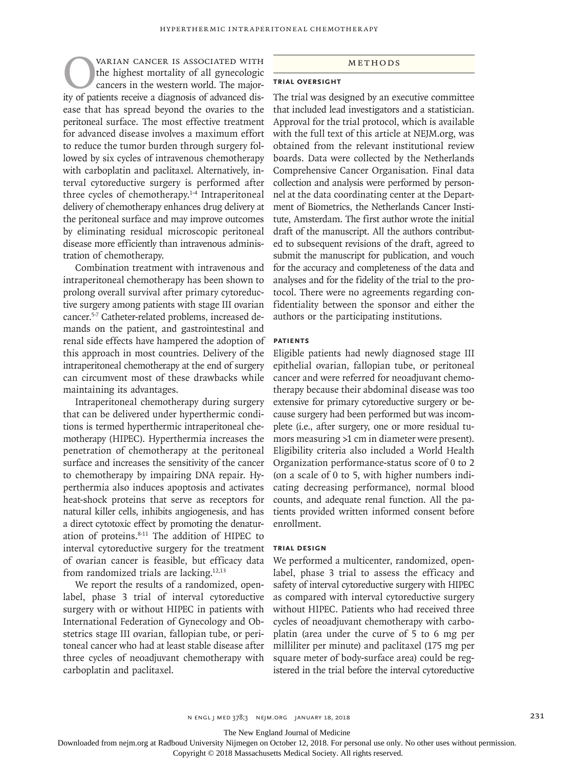VARIAN CANCER IS ASSOCIATED WITH<br>the highest mortality of all gynecologic<br>cancers in the western world. The major-<br>ity of patients receive a diagnosis of advanced disthe highest mortality of all gynecologic cancers in the western world. The majority of patients receive a diagnosis of advanced disease that has spread beyond the ovaries to the peritoneal surface. The most effective treatment for advanced disease involves a maximum effort to reduce the tumor burden through surgery followed by six cycles of intravenous chemotherapy with carboplatin and paclitaxel. Alternatively, interval cytoreductive surgery is performed after three cycles of chemotherapy.<sup>1-4</sup> Intraperitoneal delivery of chemotherapy enhances drug delivery at the peritoneal surface and may improve outcomes by eliminating residual microscopic peritoneal disease more efficiently than intravenous administration of chemotherapy.

Combination treatment with intravenous and intraperitoneal chemotherapy has been shown to prolong overall survival after primary cytoreductive surgery among patients with stage III ovarian cancer.5-7 Catheter-related problems, increased demands on the patient, and gastrointestinal and renal side effects have hampered the adoption of this approach in most countries. Delivery of the intraperitoneal chemotherapy at the end of surgery can circumvent most of these drawbacks while maintaining its advantages.

Intraperitoneal chemotherapy during surgery that can be delivered under hyperthermic conditions is termed hyperthermic intraperitoneal chemotherapy (HIPEC). Hyperthermia increases the penetration of chemotherapy at the peritoneal surface and increases the sensitivity of the cancer to chemotherapy by impairing DNA repair. Hyperthermia also induces apoptosis and activates heat-shock proteins that serve as receptors for natural killer cells, inhibits angiogenesis, and has a direct cytotoxic effect by promoting the denaturation of proteins.8-11 The addition of HIPEC to interval cytoreductive surgery for the treatment of ovarian cancer is feasible, but efficacy data from randomized trials are lacking.<sup>12,13</sup>

We report the results of a randomized, openlabel, phase 3 trial of interval cytoreductive surgery with or without HIPEC in patients with International Federation of Gynecology and Obstetrics stage III ovarian, fallopian tube, or peritoneal cancer who had at least stable disease after three cycles of neoadjuvant chemotherapy with carboplatin and paclitaxel.

#### Methods

# **Trial Oversight**

The trial was designed by an executive committee that included lead investigators and a statistician. Approval for the trial protocol, which is available with the full text of this article at NEJM.org, was obtained from the relevant institutional review boards. Data were collected by the Netherlands Comprehensive Cancer Organisation. Final data collection and analysis were performed by personnel at the data coordinating center at the Department of Biometrics, the Netherlands Cancer Institute, Amsterdam. The first author wrote the initial draft of the manuscript. All the authors contributed to subsequent revisions of the draft, agreed to submit the manuscript for publication, and vouch for the accuracy and completeness of the data and analyses and for the fidelity of the trial to the protocol. There were no agreements regarding confidentiality between the sponsor and either the authors or the participating institutions.

# **Patients**

Eligible patients had newly diagnosed stage III epithelial ovarian, fallopian tube, or peritoneal cancer and were referred for neoadjuvant chemotherapy because their abdominal disease was too extensive for primary cytoreductive surgery or because surgery had been performed but was incomplete (i.e., after surgery, one or more residual tumors measuring >1 cm in diameter were present). Eligibility criteria also included a World Health Organization performance-status score of 0 to 2 (on a scale of 0 to 5, with higher numbers indicating decreasing performance), normal blood counts, and adequate renal function. All the patients provided written informed consent before enrollment.

## **Trial Design**

We performed a multicenter, randomized, openlabel, phase 3 trial to assess the efficacy and safety of interval cytoreductive surgery with HIPEC as compared with interval cytoreductive surgery without HIPEC. Patients who had received three cycles of neoadjuvant chemotherapy with carboplatin (area under the curve of 5 to 6 mg per milliliter per minute) and paclitaxel (175 mg per square meter of body-surface area) could be registered in the trial before the interval cytoreductive

The New England Journal of Medicine

Downloaded from nejm.org at Radboud University Nijmegen on October 12, 2018. For personal use only. No other uses without permission.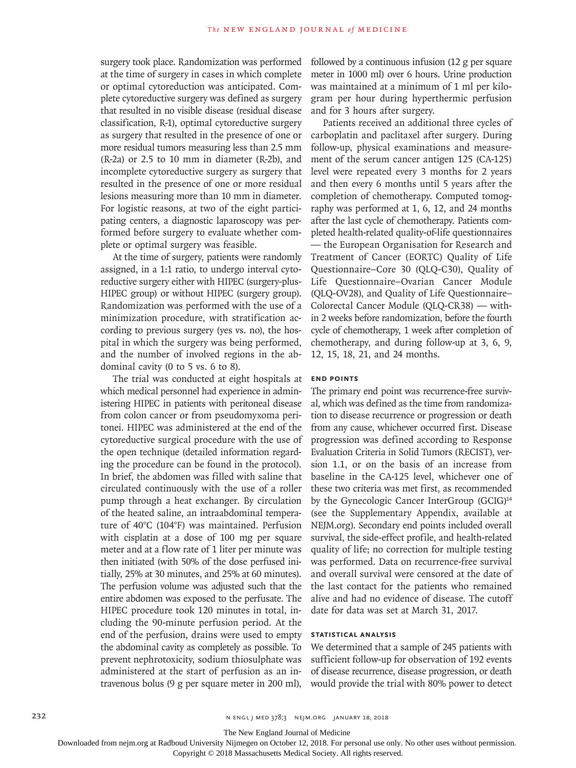surgery took place. Randomization was performed at the time of surgery in cases in which complete or optimal cytoreduction was anticipated. Complete cytoreductive surgery was defined as surgery that resulted in no visible disease (residual disease classification, R-1), optimal cytoreductive surgery as surgery that resulted in the presence of one or more residual tumors measuring less than 2.5 mm (R-2a) or 2.5 to 10 mm in diameter (R-2b), and incomplete cytoreductive surgery as surgery that resulted in the presence of one or more residual lesions measuring more than 10 mm in diameter. For logistic reasons, at two of the eight participating centers, a diagnostic laparoscopy was performed before surgery to evaluate whether complete or optimal surgery was feasible.

At the time of surgery, patients were randomly assigned, in a 1:1 ratio, to undergo interval cytoreductive surgery either with HIPEC (surgery-plus-HIPEC group) or without HIPEC (surgery group). Randomization was performed with the use of a minimization procedure, with stratification according to previous surgery (yes vs. no), the hospital in which the surgery was being performed, and the number of involved regions in the abdominal cavity (0 to 5 vs. 6 to 8).

The trial was conducted at eight hospitals at which medical personnel had experience in administering HIPEC in patients with peritoneal disease from colon cancer or from pseudomyxoma peritonei. HIPEC was administered at the end of the cytoreductive surgical procedure with the use of the open technique (detailed information regarding the procedure can be found in the protocol). In brief, the abdomen was filled with saline that circulated continuously with the use of a roller pump through a heat exchanger. By circulation of the heated saline, an intraabdominal temperature of 40°C (104°F) was maintained. Perfusion with cisplatin at a dose of 100 mg per square meter and at a flow rate of 1 liter per minute was then initiated (with 50% of the dose perfused initially, 25% at 30 minutes, and 25% at 60 minutes). The perfusion volume was adjusted such that the entire abdomen was exposed to the perfusate. The HIPEC procedure took 120 minutes in total, including the 90-minute perfusion period. At the end of the perfusion, drains were used to empty the abdominal cavity as completely as possible. To prevent nephrotoxicity, sodium thiosulphate was administered at the start of perfusion as an intravenous bolus (9 g per square meter in 200 ml),

followed by a continuous infusion (12 g per square meter in 1000 ml) over 6 hours. Urine production was maintained at a minimum of 1 ml per kilogram per hour during hyperthermic perfusion and for 3 hours after surgery.

Patients received an additional three cycles of carboplatin and paclitaxel after surgery. During follow-up, physical examinations and measurement of the serum cancer antigen 125 (CA-125) level were repeated every 3 months for 2 years and then every 6 months until 5 years after the completion of chemotherapy. Computed tomography was performed at 1, 6, 12, and 24 months after the last cycle of chemotherapy. Patients completed health-related quality-of-life questionnaires — the European Organisation for Research and Treatment of Cancer (EORTC) Quality of Life Questionnaire–Core 30 (QLQ-C30), Quality of Life Questionnaire–Ovarian Cancer Module (QLQ-OV28), and Quality of Life Questionnaire– Colorectal Cancer Module (QLQ-CR38) — within 2 weeks before randomization, before the fourth cycle of chemotherapy, 1 week after completion of chemotherapy, and during follow-up at 3, 6, 9, 12, 15, 18, 21, and 24 months.

#### **End Points**

The primary end point was recurrence-free survival, which was defined as the time from randomization to disease recurrence or progression or death from any cause, whichever occurred first. Disease progression was defined according to Response Evaluation Criteria in Solid Tumors (RECIST), version 1.1, or on the basis of an increase from baseline in the CA-125 level, whichever one of these two criteria was met first, as recommended by the Gynecologic Cancer InterGroup (GCIG)<sup>14</sup> (see the Supplementary Appendix, available at NEJM.org). Secondary end points included overall survival, the side-effect profile, and health-related quality of life; no correction for multiple testing was performed. Data on recurrence-free survival and overall survival were censored at the date of the last contact for the patients who remained alive and had no evidence of disease. The cutoff date for data was set at March 31, 2017.

## **Statistical Analysis**

We determined that a sample of 245 patients with sufficient follow-up for observation of 192 events of disease recurrence, disease progression, or death would provide the trial with 80% power to detect

232 n engl j med 378;3 nejm.org January 18, 2018

The New England Journal of Medicine

Downloaded from nejm.org at Radboud University Nijmegen on October 12, 2018. For personal use only. No other uses without permission.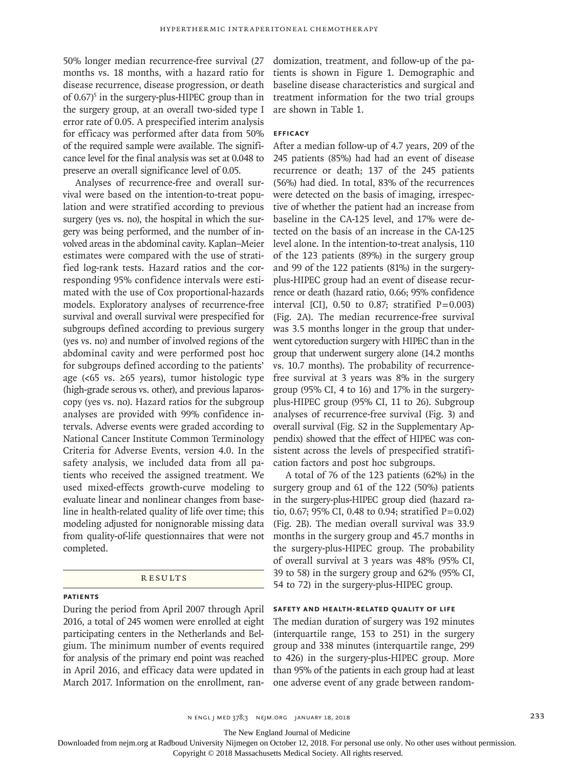50% longer median recurrence-free survival (27 months vs. 18 months, with a hazard ratio for disease recurrence, disease progression, or death of  $0.67$ <sup>5</sup> in the surgery-plus-HIPEC group than in the surgery group, at an overall two-sided type I error rate of 0.05. A prespecified interim analysis for efficacy was performed after data from 50% of the required sample were available. The significance level for the final analysis was set at 0.048 to preserve an overall significance level of 0.05.

Analyses of recurrence-free and overall survival were based on the intention-to-treat population and were stratified according to previous surgery (yes vs. no), the hospital in which the surgery was being performed, and the number of involved areas in the abdominal cavity. Kaplan–Meier estimates were compared with the use of stratified log-rank tests. Hazard ratios and the corresponding 95% confidence intervals were estimated with the use of Cox proportional-hazards models. Exploratory analyses of recurrence-free survival and overall survival were prespecified for subgroups defined according to previous surgery (yes vs. no) and number of involved regions of the abdominal cavity and were performed post hoc for subgroups defined according to the patients' age (<65 vs. ≥65 years), tumor histologic type (high-grade serous vs. other), and previous laparoscopy (yes vs. no). Hazard ratios for the subgroup analyses are provided with 99% confidence intervals. Adverse events were graded according to National Cancer Institute Common Terminology Criteria for Adverse Events, version 4.0. In the safety analysis, we included data from all patients who received the assigned treatment. We used mixed-effects growth-curve modeling to evaluate linear and nonlinear changes from baseline in health-related quality of life over time; this modeling adjusted for nonignorable missing data from quality-of-life questionnaires that were not completed.

# Results

#### **Patients**

During the period from April 2007 through April 2016, a total of 245 women were enrolled at eight participating centers in the Netherlands and Belgium. The minimum number of events required for analysis of the primary end point was reached in April 2016, and efficacy data were updated in March 2017. Information on the enrollment, ran-

domization, treatment, and follow-up of the patients is shown in Figure 1. Demographic and baseline disease characteristics and surgical and treatment information for the two trial groups are shown in Table 1.

## **Efficacy**

After a median follow-up of 4.7 years, 209 of the 245 patients (85%) had had an event of disease recurrence or death; 137 of the 245 patients (56%) had died. In total, 83% of the recurrences were detected on the basis of imaging, irrespective of whether the patient had an increase from baseline in the CA-125 level, and 17% were detected on the basis of an increase in the CA-125 level alone. In the intention-to-treat analysis, 110 of the 123 patients (89%) in the surgery group and 99 of the 122 patients (81%) in the surgeryplus-HIPEC group had an event of disease recurrence or death (hazard ratio, 0.66; 95% confidence interval [CI],  $0.50$  to  $0.87$ ; stratified  $P=0.003$ ) (Fig. 2A). The median recurrence-free survival was 3.5 months longer in the group that underwent cytoreduction surgery with HIPEC than in the group that underwent surgery alone (14.2 months vs. 10.7 months). The probability of recurrencefree survival at 3 years was 8% in the surgery group (95% CI, 4 to 16) and 17% in the surgeryplus-HIPEC group (95% CI, 11 to 26). Subgroup analyses of recurrence-free survival (Fig. 3) and overall survival (Fig. S2 in the Supplementary Appendix) showed that the effect of HIPEC was consistent across the levels of prespecified stratification factors and post hoc subgroups.

A total of 76 of the 123 patients (62%) in the surgery group and 61 of the 122 (50%) patients in the surgery-plus-HIPEC group died (hazard ratio, 0.67; 95% CI, 0.48 to 0.94; stratified P=0.02) (Fig. 2B). The median overall survival was 33.9 months in the surgery group and 45.7 months in the surgery-plus-HIPEC group. The probability of overall survival at 3 years was 48% (95% CI, 39 to 58) in the surgery group and 62% (95% CI, 54 to 72) in the surgery-plus-HIPEC group.

## **Safety and Health-Related Quality of Life**

The median duration of surgery was 192 minutes (interquartile range, 153 to 251) in the surgery group and 338 minutes (interquartile range, 299 to 426) in the surgery-plus-HIPEC group. More than 95% of the patients in each group had at least one adverse event of any grade between random-

n engl j med 378;3 nejm.org January 18, 2018 233

The New England Journal of Medicine

Downloaded from nejm.org at Radboud University Nijmegen on October 12, 2018. For personal use only. No other uses without permission.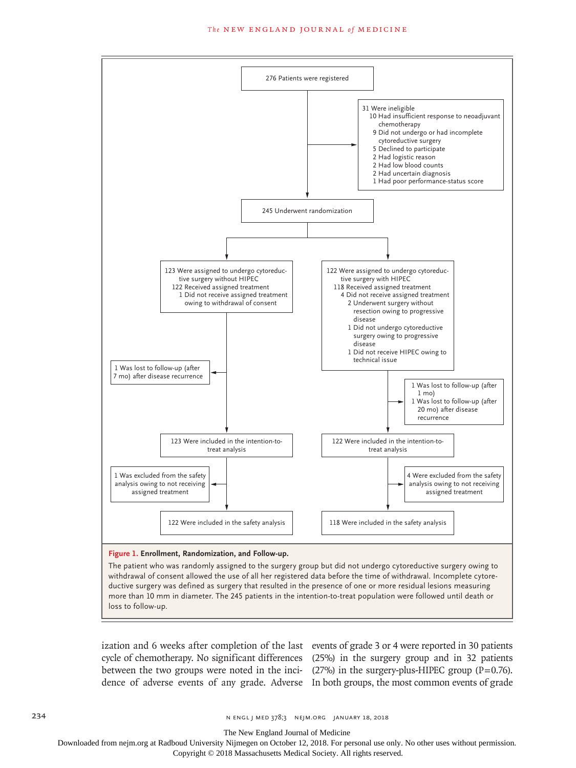

loss to follow-up.

ization and 6 weeks after completion of the last events of grade 3 or 4 were reported in 30 patients cycle of chemotherapy. No significant differences (25%) in the surgery group and in 32 patients between the two groups were noted in the inci-  $(27%)$  in the surgery-plus-HIPEC group (P=0.76).

dence of adverse events of any grade. Adverse In both groups, the most common events of grade

234 **1234** n engl j med 378;3 nejm.org January 18, 2018

The New England Journal of Medicine

Downloaded from nejm.org at Radboud University Nijmegen on October 12, 2018. For personal use only. No other uses without permission.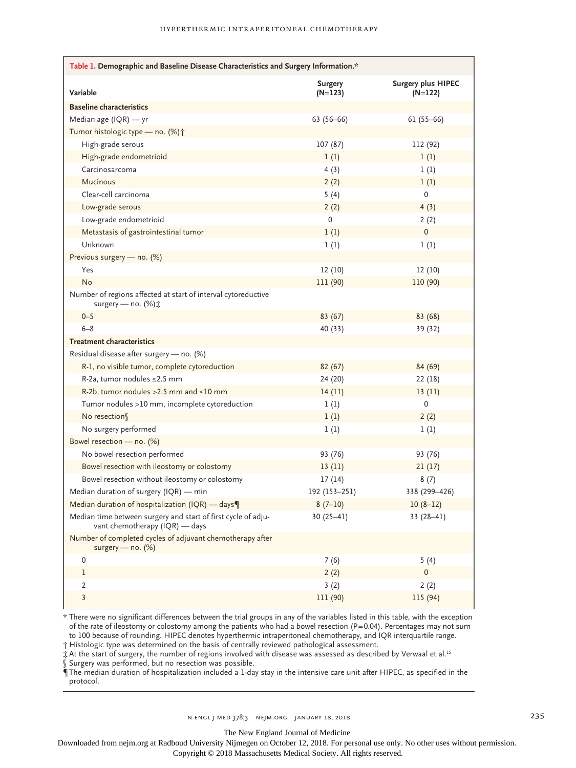| Table 1. Demographic and Baseline Disease Characteristics and Surgery Information.*             |                             |                                        |  |  |
|-------------------------------------------------------------------------------------------------|-----------------------------|----------------------------------------|--|--|
| Variable                                                                                        | <b>Surgery</b><br>$(N=123)$ | <b>Surgery plus HIPEC</b><br>$(N=122)$ |  |  |
| <b>Baseline characteristics</b>                                                                 |                             |                                        |  |  |
| Median age (IQR) - yr                                                                           | 63 (56–66)                  | $61(55-66)$                            |  |  |
| Tumor histologic type - no. (%) +                                                               |                             |                                        |  |  |
| High-grade serous                                                                               | 107 (87)                    | 112 (92)                               |  |  |
| High-grade endometrioid                                                                         | 1(1)                        | 1(1)                                   |  |  |
| Carcinosarcoma                                                                                  | 4(3)                        | 1(1)                                   |  |  |
| <b>Mucinous</b>                                                                                 | 2(2)                        | 1(1)                                   |  |  |
| Clear-cell carcinoma                                                                            | 5(4)                        | 0                                      |  |  |
| Low-grade serous                                                                                | 2(2)                        | 4(3)                                   |  |  |
| Low-grade endometrioid                                                                          | $\mathbf 0$                 | 2(2)                                   |  |  |
| Metastasis of gastrointestinal tumor                                                            | 1(1)                        | $\mathsf{O}\xspace$                    |  |  |
| Unknown                                                                                         | 1(1)                        | 1(1)                                   |  |  |
| Previous surgery - no. (%)                                                                      |                             |                                        |  |  |
| Yes                                                                                             | 12(10)                      | 12(10)                                 |  |  |
| <b>No</b>                                                                                       | 111 (90)                    | 110 (90)                               |  |  |
| Number of regions affected at start of interval cytoreductive<br>surgery - no. $(\%)\ddagger$   |                             |                                        |  |  |
| $0 - 5$                                                                                         | 83(67)                      | 83 (68)                                |  |  |
| $6 - 8$                                                                                         | 40 (33)                     | 39 (32)                                |  |  |
| <b>Treatment characteristics</b>                                                                |                             |                                        |  |  |
| Residual disease after surgery - no. (%)                                                        |                             |                                        |  |  |
| R-1, no visible tumor, complete cytoreduction                                                   | 82(67)                      | 84 (69)                                |  |  |
| R-2a, tumor nodules ≤2.5 mm                                                                     | 24 (20)                     | 22(18)                                 |  |  |
| R-2b, tumor nodules > 2.5 mm and $\leq 10$ mm                                                   | 14(11)                      | 13(11)                                 |  |  |
| Tumor nodules >10 mm, incomplete cytoreduction                                                  | 1(1)                        | 0                                      |  |  |
| No resection                                                                                    | 1(1)                        | 2(2)                                   |  |  |
| No surgery performed                                                                            | 1(1)                        | 1(1)                                   |  |  |
| Bowel resection - no. (%)                                                                       |                             |                                        |  |  |
| No bowel resection performed                                                                    | 93 (76)                     | 93 (76)                                |  |  |
| Bowel resection with ileostomy or colostomy                                                     | 13(11)                      | 21(17)                                 |  |  |
| Bowel resection without ileostomy or colostomy                                                  | 17(14)                      | 8(7)                                   |  |  |
| Median duration of surgery (IQR) - min                                                          | 192 (153-251)               | 338 (299-426)                          |  |  |
| Median duration of hospitalization (IQR) — days $\P$                                            | $8(7-10)$                   | $10(8-12)$                             |  |  |
| Median time between surgery and start of first cycle of adju-<br>vant chemotherapy (IQR) - days | $30(25-41)$                 | $33(28-41)$                            |  |  |
| Number of completed cycles of adjuvant chemotherapy after<br>surgery - no. (%)                  |                             |                                        |  |  |
| $\pmb{0}$                                                                                       | 7(6)                        | 5(4)                                   |  |  |
| $\,1$                                                                                           | 2(2)                        | $\mathsf{O}\xspace$                    |  |  |
| $\overline{2}$                                                                                  | 3(2)                        | 2(2)                                   |  |  |
| $\overline{3}$                                                                                  | 111 (90)                    | 115 (94)                               |  |  |

\* There were no significant differences between the trial groups in any of the variables listed in this table, with the exception of the rate of ileostomy or colostomy among the patients who had a bowel resection (P=0.04). Percentages may not sum to 100 because of rounding. HIPEC denotes hyperthermic intraperitoneal chemotherapy, and IQR interquartile range. † Histologic type was determined on the basis of centrally reviewed pathological assessment.

‡ At the start of surgery, the number of regions involved with disease was assessed as described by Verwaal et al.15

§ Surgery was performed, but no resection was possible.

¶ The median duration of hospitalization included a 1-day stay in the intensive care unit after HIPEC, as specified in the protocol.

The New England Journal of Medicine

Downloaded from nejm.org at Radboud University Nijmegen on October 12, 2018. For personal use only. No other uses without permission.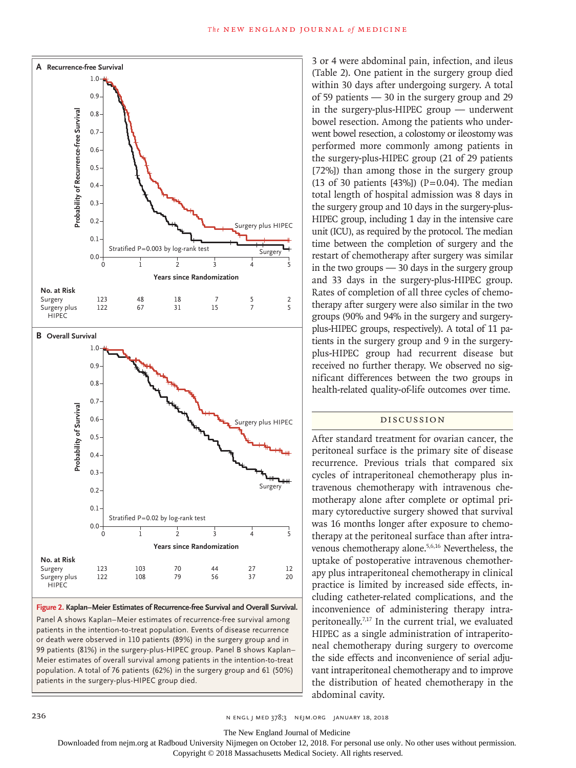



**Figure 2. Kaplan–Meier Estimates of Recurrence-free Survival and Overall Survival.**

Panel A shows Kaplan–Meier estimates of recurrence-free survival among patients in the intention-to-treat population. Events of disease recurrence or death were observed in 110 patients (89%) in the surgery group and in 99 patients (81%) in the surgery-plus-HIPEC group. Panel B shows Kaplan– Meier estimates of overall survival among patients in the intention-to-treat population. A total of 76 patients (62%) in the surgery group and 61 (50%)

3 or 4 were abdominal pain, infection, and ileus (Table 2). One patient in the surgery group died within 30 days after undergoing surgery. A total of 59 patients — 30 in the surgery group and 29 in the surgery-plus-HIPEC group — underwent bowel resection. Among the patients who underwent bowel resection, a colostomy or ileostomy was performed more commonly among patients in the surgery-plus-HIPEC group (21 of 29 patients [72%]) than among those in the surgery group (13 of 30 patients  $[43\%]$ ) (P=0.04). The median total length of hospital admission was 8 days in the surgery group and 10 days in the surgery-plus-HIPEC group, including 1 day in the intensive care unit (ICU), as required by the protocol. The median time between the completion of surgery and the restart of chemotherapy after surgery was similar in the two groups — 30 days in the surgery group and 33 days in the surgery-plus-HIPEC group. Rates of completion of all three cycles of chemotherapy after surgery were also similar in the two groups (90% and 94% in the surgery and surgeryplus-HIPEC groups, respectively). A total of 11 patients in the surgery group and 9 in the surgeryplus-HIPEC group had recurrent disease but received no further therapy. We observed no significant differences between the two groups in health-related quality-of-life outcomes over time.

## Discussion

After standard treatment for ovarian cancer, the peritoneal surface is the primary site of disease recurrence. Previous trials that compared six cycles of intraperitoneal chemotherapy plus intravenous chemotherapy with intravenous chemotherapy alone after complete or optimal primary cytoreductive surgery showed that survival was 16 months longer after exposure to chemotherapy at the peritoneal surface than after intravenous chemotherapy alone.5,6,16 Nevertheless, the uptake of postoperative intravenous chemotherapy plus intraperitoneal chemotherapy in clinical practice is limited by increased side effects, including catheter-related complications, and the inconvenience of administering therapy intraperitoneally.7,17 In the current trial, we evaluated HIPEC as a single administration of intraperitoneal chemotherapy during surgery to overcome the side effects and inconvenience of serial adjuvant intraperitoneal chemotherapy and to improve the distribution of heated chemotherapy in the abdominal cavity.

236 **1.2.236** N ENGL J MED 378;3 NEIM.ORG JANUARY 18, 2018

The New England Journal of Medicine

Downloaded from nejm.org at Radboud University Nijmegen on October 12, 2018. For personal use only. No other uses without permission.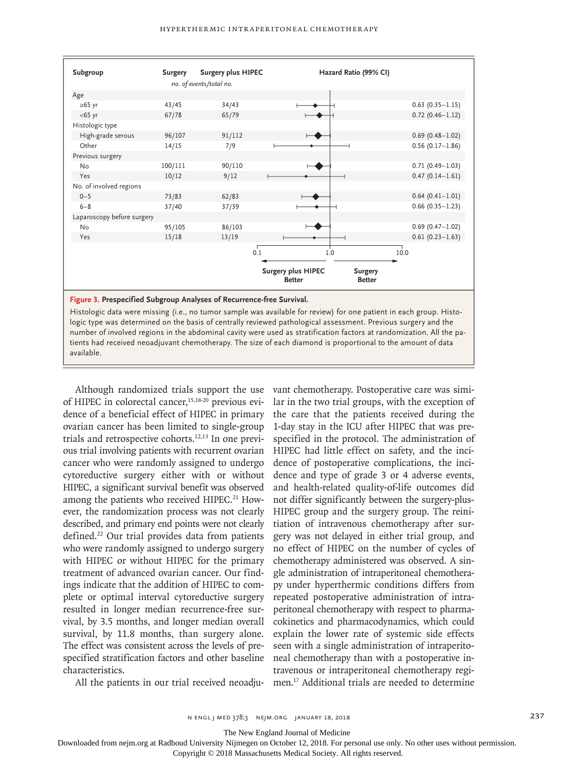| Subgroup                                                              | <b>Surgery</b> | <b>Surgery plus HIPEC</b> | Hazard Ratio (99% CI)                                                         |                        |  |  |  |
|-----------------------------------------------------------------------|----------------|---------------------------|-------------------------------------------------------------------------------|------------------------|--|--|--|
|                                                                       |                | no. of events/total no.   |                                                                               |                        |  |  |  |
| Age                                                                   |                |                           |                                                                               |                        |  |  |  |
| $\geq 65$ yr                                                          | 43/45          | 34/43                     |                                                                               | $0.63$ $(0.35 - 1.15)$ |  |  |  |
| $<$ 65 yr                                                             | 67/78          | 65/79                     |                                                                               | $0.72(0.46 - 1.12)$    |  |  |  |
| Histologic type                                                       |                |                           |                                                                               |                        |  |  |  |
| High-grade serous                                                     | 96/107         | 91/112                    |                                                                               | $0.69(0.48 - 1.02)$    |  |  |  |
| Other                                                                 | 14/15          | 7/9                       |                                                                               | $0.56(0.17 - 1.86)$    |  |  |  |
| Previous surgery                                                      |                |                           |                                                                               |                        |  |  |  |
| No                                                                    | 100/111        | 90/110                    |                                                                               | $0.71(0.49 - 1.03)$    |  |  |  |
| Yes                                                                   | 10/12          | 9/12                      |                                                                               | $0.47(0.14 - 1.61)$    |  |  |  |
| No. of involved regions                                               |                |                           |                                                                               |                        |  |  |  |
| $0 - 5$                                                               | 73/83          | 62/83                     |                                                                               | $0.64(0.41 - 1.01)$    |  |  |  |
| $6 - 8$                                                               | 37/40          | 37/39                     |                                                                               | $0.66$ (0.35 - 1.23)   |  |  |  |
| Laparoscopy before surgery                                            |                |                           |                                                                               |                        |  |  |  |
| <b>No</b>                                                             | 95/105         | 86/103                    |                                                                               | $0.69(0.47 - 1.02)$    |  |  |  |
| Yes                                                                   | 15/18          | 13/19                     |                                                                               | $0.61(0.23 - 1.63)$    |  |  |  |
|                                                                       |                | 0.1                       | 1.0                                                                           | 10.0                   |  |  |  |
|                                                                       |                |                           |                                                                               |                        |  |  |  |
|                                                                       |                |                           | <b>Surgery plus HIPEC</b><br><b>Surgery</b><br><b>Better</b><br><b>Better</b> |                        |  |  |  |
| Figure 3. Prespecified Subgroup Analyses of Recurrence-free Survival. |                |                           |                                                                               |                        |  |  |  |

Histologic data were missing (i.e., no tumor sample was available for review) for one patient in each group. Histologic type was determined on the basis of centrally reviewed pathological assessment. Previous surgery and the number of involved regions in the abdominal cavity were used as stratification factors at randomization. All the patients had received neoadjuvant chemotherapy. The size of each diamond is proportional to the amount of data available.

Although randomized trials support the use of HIPEC in colorectal cancer,<sup>15,18-20</sup> previous evidence of a beneficial effect of HIPEC in primary ovarian cancer has been limited to single-group trials and retrospective cohorts.12,13 In one previous trial involving patients with recurrent ovarian cancer who were randomly assigned to undergo cytoreductive surgery either with or without HIPEC, a significant survival benefit was observed among the patients who received HIPEC.<sup>21</sup> However, the randomization process was not clearly described, and primary end points were not clearly defined.<sup>22</sup> Our trial provides data from patients who were randomly assigned to undergo surgery with HIPEC or without HIPEC for the primary treatment of advanced ovarian cancer. Our findings indicate that the addition of HIPEC to complete or optimal interval cytoreductive surgery resulted in longer median recurrence-free survival, by 3.5 months, and longer median overall survival, by 11.8 months, than surgery alone. The effect was consistent across the levels of prespecified stratification factors and other baseline characteristics.

vant chemotherapy. Postoperative care was similar in the two trial groups, with the exception of the care that the patients received during the 1-day stay in the ICU after HIPEC that was prespecified in the protocol. The administration of HIPEC had little effect on safety, and the incidence of postoperative complications, the incidence and type of grade 3 or 4 adverse events, and health-related quality-of-life outcomes did not differ significantly between the surgery-plus-HIPEC group and the surgery group. The reinitiation of intravenous chemotherapy after surgery was not delayed in either trial group, and no effect of HIPEC on the number of cycles of chemotherapy administered was observed. A single administration of intraperitoneal chemotherapy under hyperthermic conditions differs from repeated postoperative administration of intraperitoneal chemotherapy with respect to pharmacokinetics and pharmacodynamics, which could explain the lower rate of systemic side effects seen with a single administration of intraperitoneal chemotherapy than with a postoperative intravenous or intraperitoneal chemotherapy regimen.17 Additional trials are needed to determine

All the patients in our trial received neoadju-

The New England Journal of Medicine

Downloaded from nejm.org at Radboud University Nijmegen on October 12, 2018. For personal use only. No other uses without permission.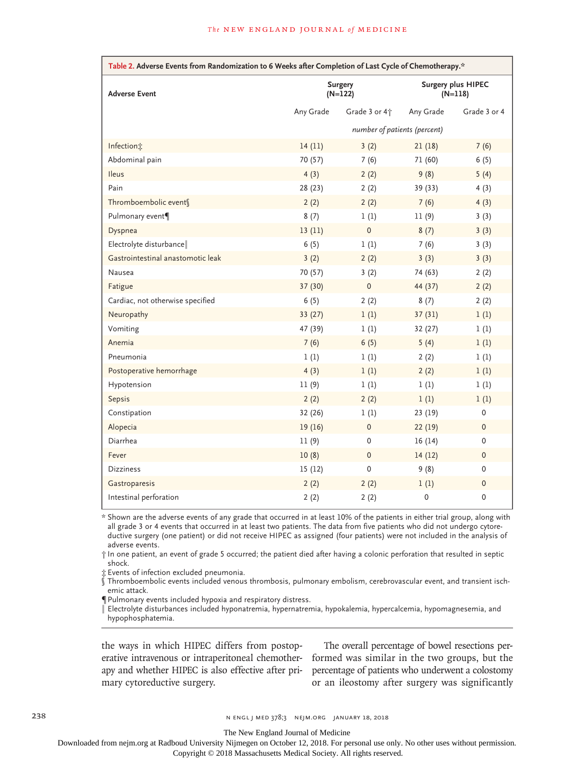| Table 2. Adverse Events from Randomization to 6 Weeks after Completion of Last Cycle of Chemotherapy.* |                              |                           |                                        |              |  |  |  |  |
|--------------------------------------------------------------------------------------------------------|------------------------------|---------------------------|----------------------------------------|--------------|--|--|--|--|
| <b>Adverse Event</b>                                                                                   | <b>Surgery</b><br>$(N=122)$  |                           | <b>Surgery plus HIPEC</b><br>$(N=118)$ |              |  |  |  |  |
|                                                                                                        | Any Grade                    | Grade 3 or 4 <sup>+</sup> | Any Grade                              | Grade 3 or 4 |  |  |  |  |
|                                                                                                        | number of patients (percent) |                           |                                        |              |  |  |  |  |
| Infection:                                                                                             | 14(11)                       | 3(2)                      | 21(18)                                 | 7(6)         |  |  |  |  |
| Abdominal pain                                                                                         | 70 (57)                      | 7(6)                      | 71 (60)                                | 6(5)         |  |  |  |  |
| Ileus                                                                                                  | 4(3)                         | 2(2)                      | 9(8)                                   | 5(4)         |  |  |  |  |
| Pain                                                                                                   | 28 (23)                      | 2(2)                      | 39 (33)                                | 4(3)         |  |  |  |  |
| Thromboembolic event <sub>s</sub>                                                                      | 2(2)                         | 2(2)                      | 7(6)                                   | 4(3)         |  |  |  |  |
| Pulmonary event¶                                                                                       | 8(7)                         | 1(1)                      | 11(9)                                  | 3(3)         |  |  |  |  |
| Dyspnea                                                                                                | 13(11)                       | $\mathbf{0}$              | 8(7)                                   | 3(3)         |  |  |  |  |
| Electrolyte disturbance                                                                                | 6(5)                         | 1(1)                      | 7(6)                                   | 3(3)         |  |  |  |  |
| Gastrointestinal anastomotic leak                                                                      | 3(2)                         | 2(2)                      | 3(3)                                   | 3(3)         |  |  |  |  |
| Nausea                                                                                                 | 70 (57)                      | 3(2)                      | 74 (63)                                | 2(2)         |  |  |  |  |
| Fatigue                                                                                                | 37 (30)                      | $\mathbf{0}$              | 44 (37)                                | 2(2)         |  |  |  |  |
| Cardiac, not otherwise specified                                                                       | 6(5)                         | 2(2)                      | 8(7)                                   | 2(2)         |  |  |  |  |
| Neuropathy                                                                                             | 33(27)                       | 1(1)                      | 37(31)                                 | 1(1)         |  |  |  |  |
| Vomiting                                                                                               | 47 (39)                      | 1(1)                      | 32 (27)                                | 1(1)         |  |  |  |  |
| Anemia                                                                                                 | 7(6)                         | 6(5)                      | 5(4)                                   | 1(1)         |  |  |  |  |
| Pneumonia                                                                                              | 1(1)                         | 1(1)                      | 2(2)                                   | 1(1)         |  |  |  |  |
| Postoperative hemorrhage                                                                               | 4(3)                         | 1(1)                      | 2(2)                                   | 1(1)         |  |  |  |  |
| Hypotension                                                                                            | 11(9)                        | 1(1)                      | 1(1)                                   | 1(1)         |  |  |  |  |
| Sepsis                                                                                                 | 2(2)                         | 2(2)                      | 1(1)                                   | 1(1)         |  |  |  |  |
| Constipation                                                                                           | 32 (26)                      | 1(1)                      | 23 (19)                                | $\mathbf 0$  |  |  |  |  |
| Alopecia                                                                                               | 19(16)                       | $\mathbf 0$               | 22(19)                                 | $\mathbf{0}$ |  |  |  |  |
| Diarrhea                                                                                               | 11(9)                        | 0                         | 16(14)                                 | 0            |  |  |  |  |
| Fever                                                                                                  | 10(8)                        | $\mathbf{0}$              | 14(12)                                 | $\mathbf{0}$ |  |  |  |  |
| <b>Dizziness</b>                                                                                       | 15 (12)                      | $\mathsf{O}\xspace$       | 9(8)                                   | 0            |  |  |  |  |
| Gastroparesis                                                                                          | 2(2)                         | 2(2)                      | 1(1)                                   | $\mathbf{0}$ |  |  |  |  |
| Intestinal perforation                                                                                 | 2(2)                         | 2(2)                      | $\mathsf 0$                            | 0            |  |  |  |  |

\* Shown are the adverse events of any grade that occurred in at least 10% of the patients in either trial group, along with all grade 3 or 4 events that occurred in at least two patients. The data from five patients who did not undergo cytoreductive surgery (one patient) or did not receive HIPEC as assigned (four patients) were not included in the analysis of adverse events.

† In one patient, an event of grade 5 occurred; the patient died after having a colonic perforation that resulted in septic shock.

‡ Events of infection excluded pneumonia.

§ Thromboembolic events included venous thrombosis, pulmonary embolism, cerebrovascular event, and transient ischemic attack.

¶ Pulmonary events included hypoxia and respiratory distress.

‖ Electrolyte disturbances included hyponatremia, hypernatremia, hypokalemia, hypercalcemia, hypomagnesemia, and hypophosphatemia.

the ways in which HIPEC differs from postoperative intravenous or intraperitoneal chemotherapy and whether HIPEC is also effective after primary cytoreductive surgery.

The overall percentage of bowel resections performed was similar in the two groups, but the percentage of patients who underwent a colostomy or an ileostomy after surgery was significantly

238 **1.2.238** n engl j med 378;3 nejm.org January 18, 2018

The New England Journal of Medicine

Downloaded from nejm.org at Radboud University Nijmegen on October 12, 2018. For personal use only. No other uses without permission.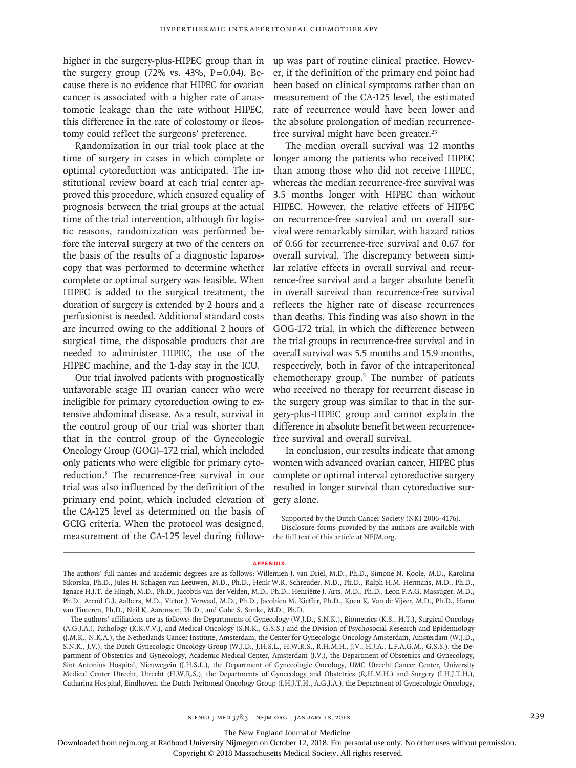higher in the surgery-plus-HIPEC group than in the surgery group (72% vs. 43%,  $P=0.04$ ). Because there is no evidence that HIPEC for ovarian cancer is associated with a higher rate of anastomotic leakage than the rate without HIPEC, this difference in the rate of colostomy or ileostomy could reflect the surgeons' preference.

Randomization in our trial took place at the time of surgery in cases in which complete or optimal cytoreduction was anticipated. The institutional review board at each trial center approved this procedure, which ensured equality of prognosis between the trial groups at the actual time of the trial intervention, although for logistic reasons, randomization was performed before the interval surgery at two of the centers on the basis of the results of a diagnostic laparoscopy that was performed to determine whether complete or optimal surgery was feasible. When HIPEC is added to the surgical treatment, the duration of surgery is extended by 2 hours and a perfusionist is needed. Additional standard costs are incurred owing to the additional 2 hours of surgical time, the disposable products that are needed to administer HIPEC, the use of the HIPEC machine, and the 1-day stay in the ICU.

Our trial involved patients with prognostically unfavorable stage III ovarian cancer who were ineligible for primary cytoreduction owing to extensive abdominal disease. As a result, survival in the control group of our trial was shorter than that in the control group of the Gynecologic Oncology Group (GOG)–172 trial, which included only patients who were eligible for primary cytoreduction.5 The recurrence-free survival in our trial was also influenced by the definition of the primary end point, which included elevation of the CA-125 level as determined on the basis of GCIG criteria. When the protocol was designed, measurement of the CA-125 level during follow-

up was part of routine clinical practice. However, if the definition of the primary end point had been based on clinical symptoms rather than on measurement of the CA-125 level, the estimated rate of recurrence would have been lower and the absolute prolongation of median recurrencefree survival might have been greater.<sup>23</sup>

The median overall survival was 12 months longer among the patients who received HIPEC than among those who did not receive HIPEC, whereas the median recurrence-free survival was 3.5 months longer with HIPEC than without HIPEC. However, the relative effects of HIPEC on recurrence-free survival and on overall survival were remarkably similar, with hazard ratios of 0.66 for recurrence-free survival and 0.67 for overall survival. The discrepancy between similar relative effects in overall survival and recurrence-free survival and a larger absolute benefit in overall survival than recurrence-free survival reflects the higher rate of disease recurrences than deaths. This finding was also shown in the GOG-172 trial, in which the difference between the trial groups in recurrence-free survival and in overall survival was 5.5 months and 15.9 months, respectively, both in favor of the intraperitoneal chemotherapy group.<sup>5</sup> The number of patients who received no therapy for recurrent disease in the surgery group was similar to that in the surgery-plus-HIPEC group and cannot explain the difference in absolute benefit between recurrencefree survival and overall survival.

In conclusion, our results indicate that among women with advanced ovarian cancer, HIPEC plus complete or optimal interval cytoreductive surgery resulted in longer survival than cytoreductive surgery alone.

Supported by the Dutch Cancer Society (NKI 2006-4176). Disclosure forms provided by the authors are available with the full text of this article at NEJM.org.

#### **Appendix**

The authors' affiliations are as follows: the Departments of Gynecology (W.J.D., S.N.K.), Biometrics (K.S., H.T.), Surgical Oncology (A.G.J.A.), Pathology (K.K.V.V.), and Medical Oncology (S.N.K., G.S.S.) and the Division of Psychosocial Research and Epidemiology (J.M.K., N.K.A.), the Netherlands Cancer Institute, Amsterdam, the Center for Gynecologic Oncology Amsterdam, Amsterdam (W.J.D., S.N.K., J.V.), the Dutch Gynecologic Oncology Group (W.J.D., J.H.S.L., H.W.R.S., R.H.M.H., J.V., H.J.A., L.F.A.G.M., G.S.S.), the Department of Obstetrics and Gynecology, Academic Medical Center, Amsterdam (J.V.), the Department of Obstetrics and Gynecology, Sint Antonius Hospital, Nieuwegein (J.H.S.L.), the Department of Gynecologic Oncology, UMC Utrecht Cancer Center, University Medical Center Utrecht, Utrecht (H.W.R.S.), the Departments of Gynecology and Obstetrics (R.H.M.H.) and Surgery (I.H.J.T.H.), Catharina Hospital, Eindhoven, the Dutch Peritoneal Oncology Group (I.H.J.T.H., A.G.J.A.), the Department of Gynecologic Oncology,

The New England Journal of Medicine

Downloaded from nejm.org at Radboud University Nijmegen on October 12, 2018. For personal use only. No other uses without permission.

The authors' full names and academic degrees are as follows: Willemien J. van Driel, M.D., Ph.D., Simone N. Koole, M.D., Karolina Sikorska, Ph.D., Jules H. Schagen van Leeuwen, M.D., Ph.D., Henk W.R. Schreuder, M.D., Ph.D., Ralph H.M. Hermans, M.D., Ph.D., Ignace H.J.T. de Hingh, M.D., Ph.D., Jacobus van der Velden, M.D., Ph.D., Henriëtte J. Arts, M.D., Ph.D., Leon F.A.G. Massuger, M.D., Ph.D., Arend G.J. Aalbers, M.D., Victor J. Verwaal, M.D., Ph.D., Jacobien M. Kieffer, Ph.D., Koen K. Van de Vijver, M.D., Ph.D., Harm van Tinteren, Ph.D., Neil K. Aaronson, Ph.D., and Gabe S. Sonke, M.D., Ph.D.